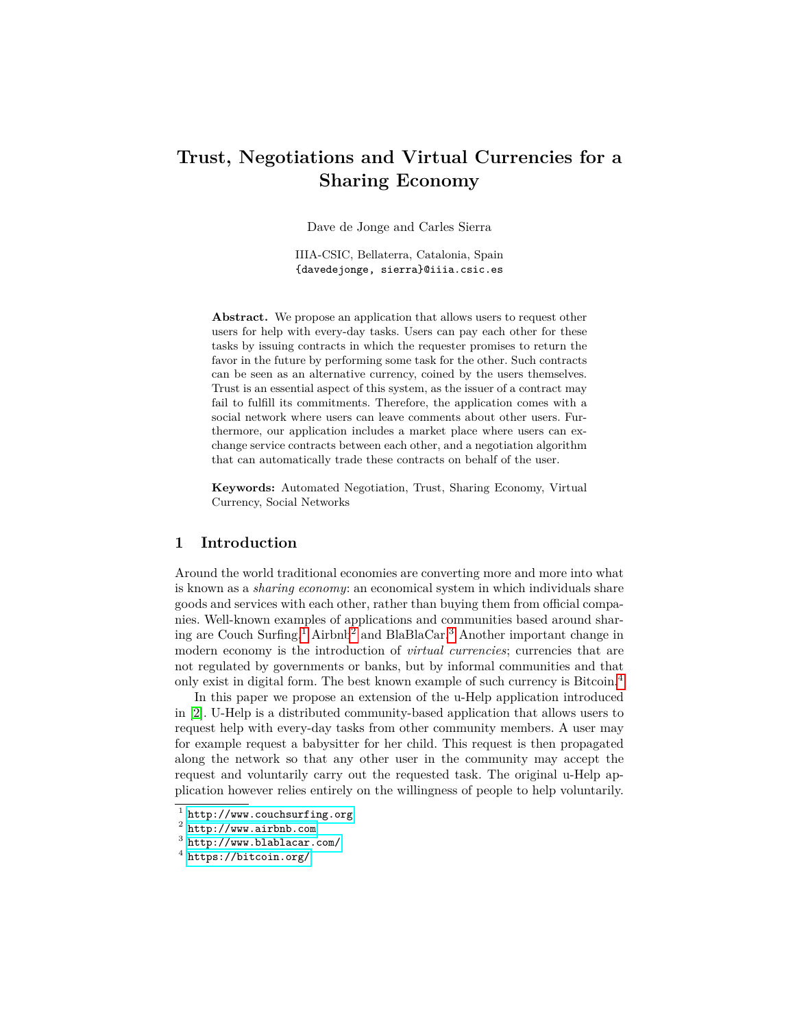# **Trust, Negotiations and Virtual Currencies for a Sharing Economy**

Dave de Jonge and Carles Sierra

IIIA-CSIC, Bellaterra, Catalonia, Spain {davedejonge, sierra}@iiia.csic.es

**Abstract.** We propose an application that allows users to request other users for help with every-day tasks. Users can pay each other for these tasks by issuing contracts in which the requester promises to return the favor in the future by performing some task for the other. Such contracts can be seen as an alternative currency, coined by the users themselves. Trust is an essential aspect of this system, as the issuer of a contract may fail to fulfill its commitments. Therefore, the application comes with a social network where users can leave comments about other users. Furthermore, our application includes a market place where users can exchange service contracts between each other, and a negotiation algorithm that can automatically trade these contracts on behalf of the user.

**Keywords:** Automated Negotiation, Trust, Sharing Economy, Virtual Currency, Social Networks

### **1 Introduction**

Around the world traditional economies are converting more and more into what is known as a *sharing economy*: an economical system in which individuals share goods and services with each other, rather than buying them from official companies. Well-known examples of applications and communities based around sharing are Couch Surfing,[1](#page-0-0) Airbnb[2](#page-0-1) and BlaBlaCar.[3](#page-0-2) Another important change in modern economy is the introduction of *virtual currencies*; currencies that are not regulated by governments or banks, but by informal communities and that only exist in digital form. The best known example of such currency is Bitcoin.[4](#page-0-3)

In this paper we propose an extension of the u-Help application introduced in [\[2\]](#page-3-0). U-Help is a distributed community-based application that allows users to request help with every-day tasks from other community members. A user may for example request a babysitter for her child. This request is then propagated along the network so that any other user in the community may accept the request and voluntarily carry out the requested task. The original u-Help application however relies entirely on the willingness of people to help voluntarily.

<span id="page-0-0"></span><sup>1</sup> <http://www.couchsurfing.org>

<span id="page-0-1"></span> $<sup>2</sup>$  <http://www.airbnb.com></sup>

<span id="page-0-2"></span> $^3$  <http://www.blablacar.com/>

<span id="page-0-3"></span> $^4$  <https://bitcoin.org/>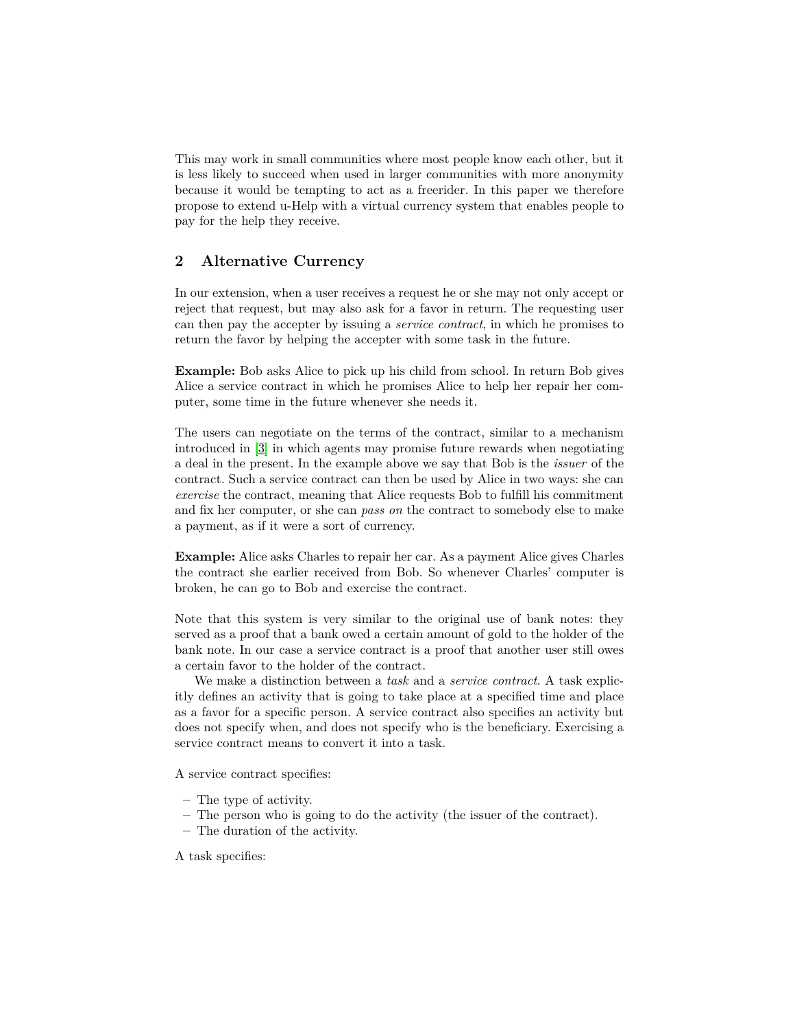This may work in small communities where most people know each other, but it is less likely to succeed when used in larger communities with more anonymity because it would be tempting to act as a freerider. In this paper we therefore propose to extend u-Help with a virtual currency system that enables people to pay for the help they receive.

## **2 Alternative Currency**

In our extension, when a user receives a request he or she may not only accept or reject that request, but may also ask for a favor in return. The requesting user can then pay the accepter by issuing a *service contract*, in which he promises to return the favor by helping the accepter with some task in the future.

**Example:** Bob asks Alice to pick up his child from school. In return Bob gives Alice a service contract in which he promises Alice to help her repair her computer, some time in the future whenever she needs it.

The users can negotiate on the terms of the contract, similar to a mechanism introduced in [\[3\]](#page-3-1) in which agents may promise future rewards when negotiating a deal in the present. In the example above we say that Bob is the *issuer* of the contract. Such a service contract can then be used by Alice in two ways: she can *exercise* the contract, meaning that Alice requests Bob to fulfill his commitment and fix her computer, or she can *pass on* the contract to somebody else to make a payment, as if it were a sort of currency.

**Example:** Alice asks Charles to repair her car. As a payment Alice gives Charles the contract she earlier received from Bob. So whenever Charles' computer is broken, he can go to Bob and exercise the contract.

Note that this system is very similar to the original use of bank notes: they served as a proof that a bank owed a certain amount of gold to the holder of the bank note. In our case a service contract is a proof that another user still owes a certain favor to the holder of the contract.

We make a distinction between a *task* and a *service contract*. A task explicitly defines an activity that is going to take place at a specified time and place as a favor for a specific person. A service contract also specifies an activity but does not specify when, and does not specify who is the beneficiary. Exercising a service contract means to convert it into a task.

A service contract specifies:

- **–** The type of activity.
- **–** The person who is going to do the activity (the issuer of the contract).
- **–** The duration of the activity.

A task specifies: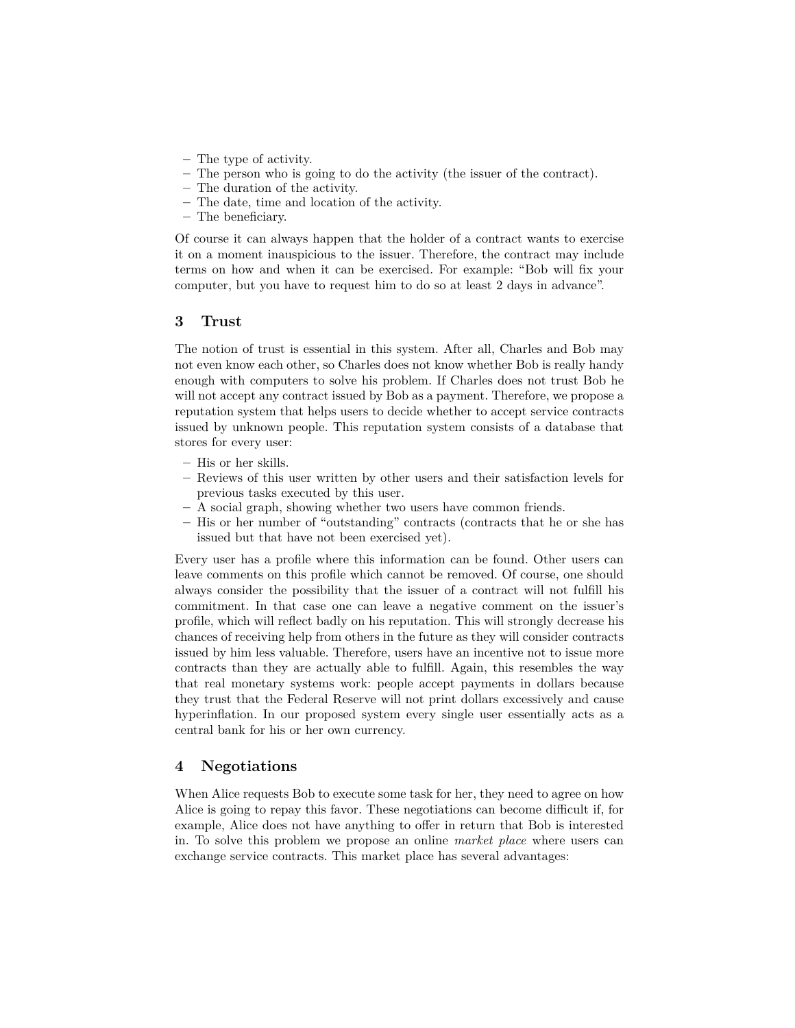- **–** The type of activity.
- **–** The person who is going to do the activity (the issuer of the contract).
- **–** The duration of the activity.
- **–** The date, time and location of the activity.
- **–** The beneficiary.

Of course it can always happen that the holder of a contract wants to exercise it on a moment inauspicious to the issuer. Therefore, the contract may include terms on how and when it can be exercised. For example: "Bob will fix your computer, but you have to request him to do so at least 2 days in advance".

### **3 Trust**

The notion of trust is essential in this system. After all, Charles and Bob may not even know each other, so Charles does not know whether Bob is really handy enough with computers to solve his problem. If Charles does not trust Bob he will not accept any contract issued by Bob as a payment. Therefore, we propose a reputation system that helps users to decide whether to accept service contracts issued by unknown people. This reputation system consists of a database that stores for every user:

- **–** His or her skills.
- **–** Reviews of this user written by other users and their satisfaction levels for previous tasks executed by this user.
- **–** A social graph, showing whether two users have common friends.
- **–** His or her number of "outstanding" contracts (contracts that he or she has issued but that have not been exercised yet).

Every user has a profile where this information can be found. Other users can leave comments on this profile which cannot be removed. Of course, one should always consider the possibility that the issuer of a contract will not fulfill his commitment. In that case one can leave a negative comment on the issuer's profile, which will reflect badly on his reputation. This will strongly decrease his chances of receiving help from others in the future as they will consider contracts issued by him less valuable. Therefore, users have an incentive not to issue more contracts than they are actually able to fulfill. Again, this resembles the way that real monetary systems work: people accept payments in dollars because they trust that the Federal Reserve will not print dollars excessively and cause hyperinflation. In our proposed system every single user essentially acts as a central bank for his or her own currency.

#### **4 Negotiations**

When Alice requests Bob to execute some task for her, they need to agree on how Alice is going to repay this favor. These negotiations can become difficult if, for example, Alice does not have anything to offer in return that Bob is interested in. To solve this problem we propose an online *market place* where users can exchange service contracts. This market place has several advantages: